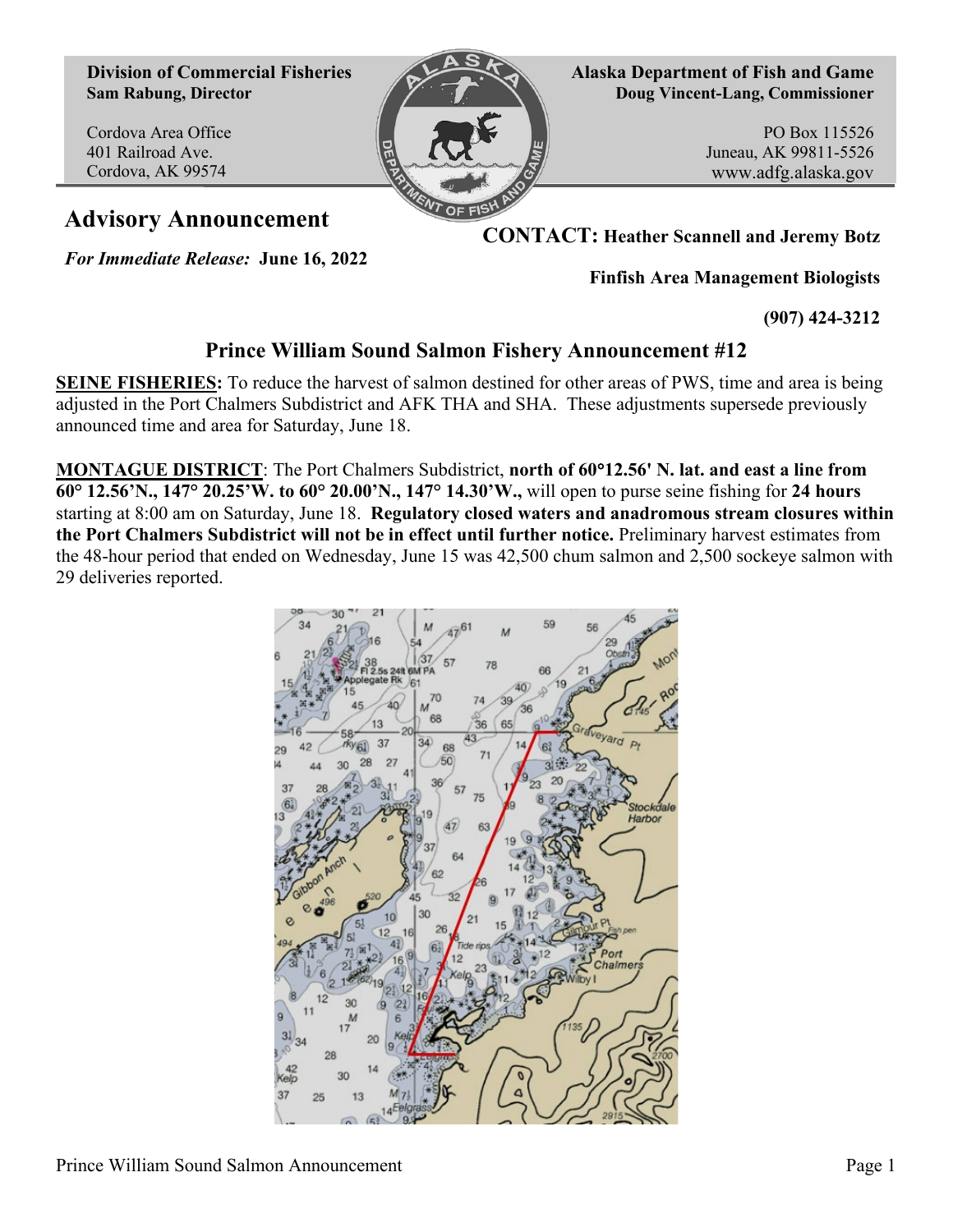**Division of Commercial Fisheries Sam Rabung, Director**

Cordova Area Office 401 Railroad Ave. Cordova, AK 99574



**Alaska Department of Fish and Game Doug Vincent-Lang, Commissioner**

> PO Box 115526 Juneau, AK 99811-5526 www.adfg.alaska.gov

**Advisory Announcement CONTACT: Heather Scannell and Jeremy Botz**

*For Immediate Release:* **June 16, 2022**

**Finfish Area Management Biologists**

**(907) 424-3212**

## **Prince William Sound Salmon Fishery Announcement #12**

**SEINE FISHERIES:** To reduce the harvest of salmon destined for other areas of PWS, time and area is being adjusted in the Port Chalmers Subdistrict and AFK THA and SHA. These adjustments supersede previously announced time and area for Saturday, June 18.

**MONTAGUE DISTRICT**: The Port Chalmers Subdistrict, **north of 60**°**12.56' N. lat. and east a line from 60° 12.56'N., 147° 20.25'W. to 60° 20.00'N., 147° 14.30'W.,** will open to purse seine fishing for **24 hours** starting at 8:00 am on Saturday, June 18. **Regulatory closed waters and anadromous stream closures within the Port Chalmers Subdistrict will not be in effect until further notice.** Preliminary harvest estimates from the 48-hour period that ended on Wednesday, June 15 was 42,500 chum salmon and 2,500 sockeye salmon with 29 deliveries reported.